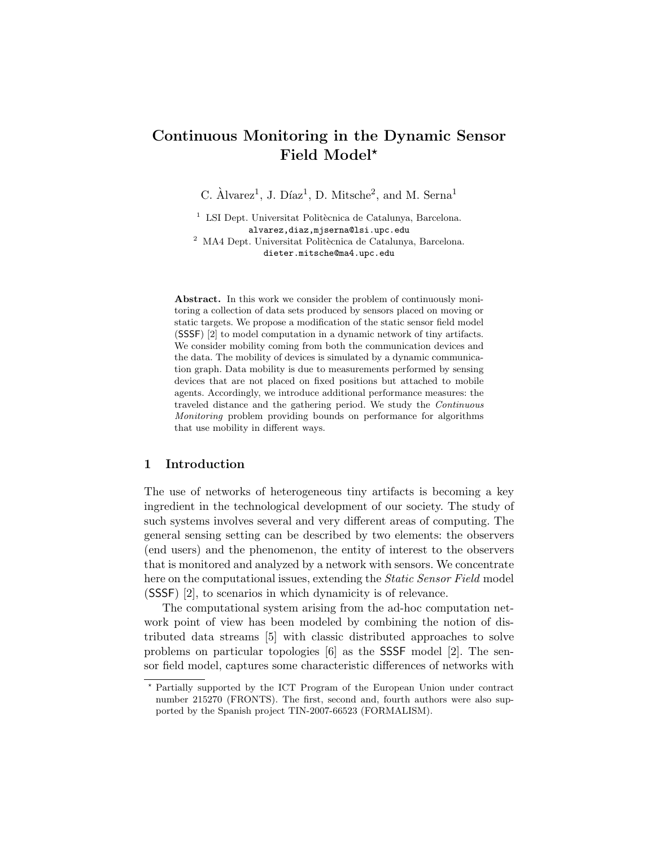# Continuous Monitoring in the Dynamic Sensor Field Model?

C.  $\text{Alvarez}^1$ , J. Díaz<sup>1</sup>, D. Mitsche<sup>2</sup>, and M. Serna<sup>1</sup>

 $1$  LSI Dept. Universitat Politècnica de Catalunya, Barcelona. alvarez,diaz,mjserna@lsi.upc.edu  $^2\,$ MA4 Dept. Universitat Politècnica de Catalunya, Barcelona. dieter.mitsche@ma4.upc.edu

Abstract. In this work we consider the problem of continuously monitoring a collection of data sets produced by sensors placed on moving or static targets. We propose a modification of the static sensor field model (SSSF) [2] to model computation in a dynamic network of tiny artifacts. We consider mobility coming from both the communication devices and the data. The mobility of devices is simulated by a dynamic communication graph. Data mobility is due to measurements performed by sensing devices that are not placed on fixed positions but attached to mobile agents. Accordingly, we introduce additional performance measures: the traveled distance and the gathering period. We study the Continuous Monitoring problem providing bounds on performance for algorithms that use mobility in different ways.

## 1 Introduction

The use of networks of heterogeneous tiny artifacts is becoming a key ingredient in the technological development of our society. The study of such systems involves several and very different areas of computing. The general sensing setting can be described by two elements: the observers (end users) and the phenomenon, the entity of interest to the observers that is monitored and analyzed by a network with sensors. We concentrate here on the computational issues, extending the *Static Sensor Field* model (SSSF) [2], to scenarios in which dynamicity is of relevance.

The computational system arising from the ad-hoc computation network point of view has been modeled by combining the notion of distributed data streams [5] with classic distributed approaches to solve problems on particular topologies [6] as the SSSF model [2]. The sensor field model, captures some characteristic differences of networks with

<sup>?</sup> Partially supported by the ICT Program of the European Union under contract number 215270 (FRONTS). The first, second and, fourth authors were also supported by the Spanish project TIN-2007-66523 (FORMALISM).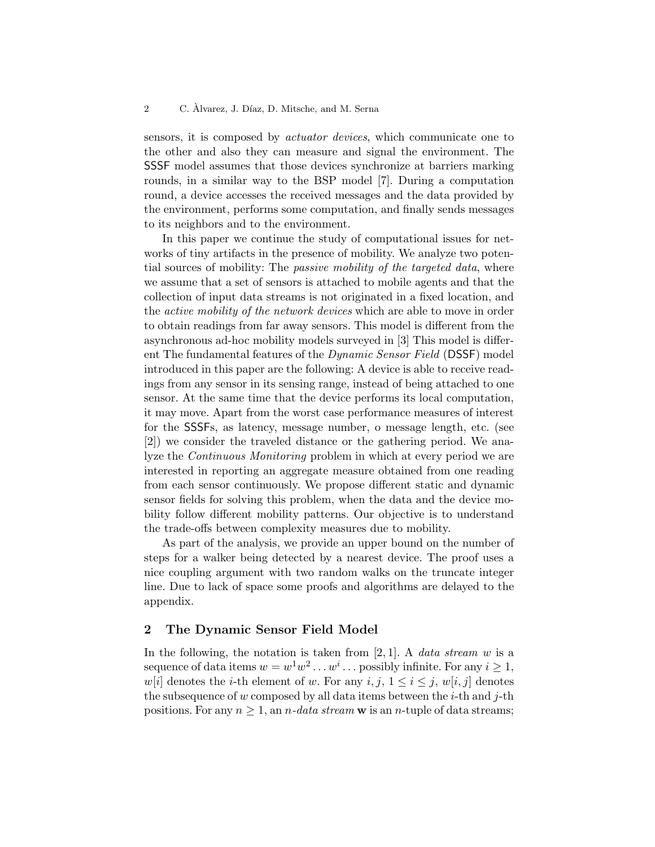sensors, it is composed by actuator devices, which communicate one to the other and also they can measure and signal the environment. The SSSF model assumes that those devices synchronize at barriers marking rounds, in a similar way to the BSP model [7]. During a computation round, a device accesses the received messages and the data provided by the environment, performs some computation, and finally sends messages to its neighbors and to the environment.

In this paper we continue the study of computational issues for networks of tiny artifacts in the presence of mobility. We analyze two potential sources of mobility: The *passive mobility of the targeted data*, where we assume that a set of sensors is attached to mobile agents and that the collection of input data streams is not originated in a fixed location, and the active mobility of the network devices which are able to move in order to obtain readings from far away sensors. This model is different from the asynchronous ad-hoc mobility models surveyed in [3] This model is different The fundamental features of the Dynamic Sensor Field (DSSF) model introduced in this paper are the following: A device is able to receive readings from any sensor in its sensing range, instead of being attached to one sensor. At the same time that the device performs its local computation, it may move. Apart from the worst case performance measures of interest for the SSSFs, as latency, message number, o message length, etc. (see [2]) we consider the traveled distance or the gathering period. We analyze the Continuous Monitoring problem in which at every period we are interested in reporting an aggregate measure obtained from one reading from each sensor continuously. We propose different static and dynamic sensor fields for solving this problem, when the data and the device mobility follow different mobility patterns. Our objective is to understand the trade-offs between complexity measures due to mobility.

As part of the analysis, we provide an upper bound on the number of steps for a walker being detected by a nearest device. The proof uses a nice coupling argument with two random walks on the truncate integer line. Due to lack of space some proofs and algorithms are delayed to the appendix.

## 2 The Dynamic Sensor Field Model

In the following, the notation is taken from [2, 1]. A *data stream w* is a sequence of data items  $w = w^1 w^2 \dots w^i \dots$  possibly infinite. For any  $i \geq 1$ , w[i] denotes the *i*-th element of w. For any  $i, j, 1 \leq i \leq j, w[i, j]$  denotes the subsequence of w composed by all data items between the  $i$ -th and  $j$ -th positions. For any  $n \geq 1$ , an *n*-data stream w is an *n*-tuple of data streams;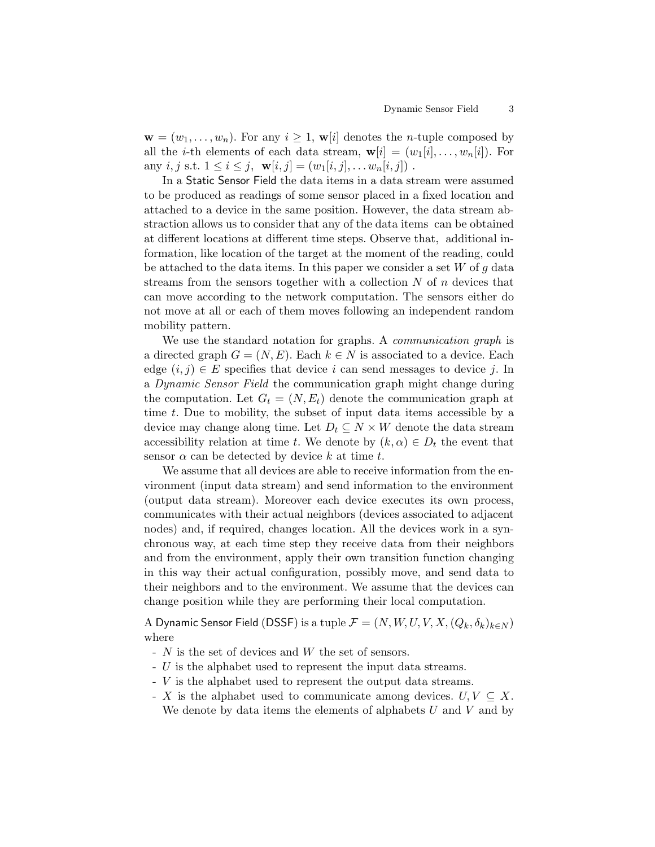$\mathbf{w} = (w_1, \ldots, w_n)$ . For any  $i \geq 1$ ,  $\mathbf{w}[i]$  denotes the *n*-tuple composed by all the *i*-th elements of each data stream,  $\mathbf{w}[i] = (w_1[i], \ldots, w_n[i])$ . For any i, j s.t.  $1 \leq i \leq j$ ,  $\mathbf{w}[i, j] = (w_1[i, j], \dots w_n[i, j])$ .

In a Static Sensor Field the data items in a data stream were assumed to be produced as readings of some sensor placed in a fixed location and attached to a device in the same position. However, the data stream abstraction allows us to consider that any of the data items can be obtained at different locations at different time steps. Observe that, additional information, like location of the target at the moment of the reading, could be attached to the data items. In this paper we consider a set  $W$  of  $g$  data streams from the sensors together with a collection  $N$  of  $n$  devices that can move according to the network computation. The sensors either do not move at all or each of them moves following an independent random mobility pattern.

We use the standard notation for graphs. A *communication graph* is a directed graph  $G = (N, E)$ . Each  $k \in N$  is associated to a device. Each edge  $(i, j) \in E$  specifies that device i can send messages to device j. In a Dynamic Sensor Field the communication graph might change during the computation. Let  $G_t = (N, E_t)$  denote the communication graph at time t. Due to mobility, the subset of input data items accessible by a device may change along time. Let  $D_t \subseteq N \times W$  denote the data stream accessibility relation at time t. We denote by  $(k, \alpha) \in D_t$  the event that sensor  $\alpha$  can be detected by device k at time t.

We assume that all devices are able to receive information from the environment (input data stream) and send information to the environment (output data stream). Moreover each device executes its own process, communicates with their actual neighbors (devices associated to adjacent nodes) and, if required, changes location. All the devices work in a synchronous way, at each time step they receive data from their neighbors and from the environment, apply their own transition function changing in this way their actual configuration, possibly move, and send data to their neighbors and to the environment. We assume that the devices can change position while they are performing their local computation.

A Dynamic Sensor Field (DSSF) is a tuple  $\mathcal{F} = (N, W, U, V, X, (Q_k, \delta_k)_{k \in N})$ where

- $N$  is the set of devices and  $W$  the set of sensors.
- U is the alphabet used to represent the input data streams.
- V is the alphabet used to represent the output data streams.
- $\overline{X}$  is the alphabet used to communicate among devices.  $U, V \subseteq X$ .
	- We denote by data items the elements of alphabets  $U$  and  $V$  and by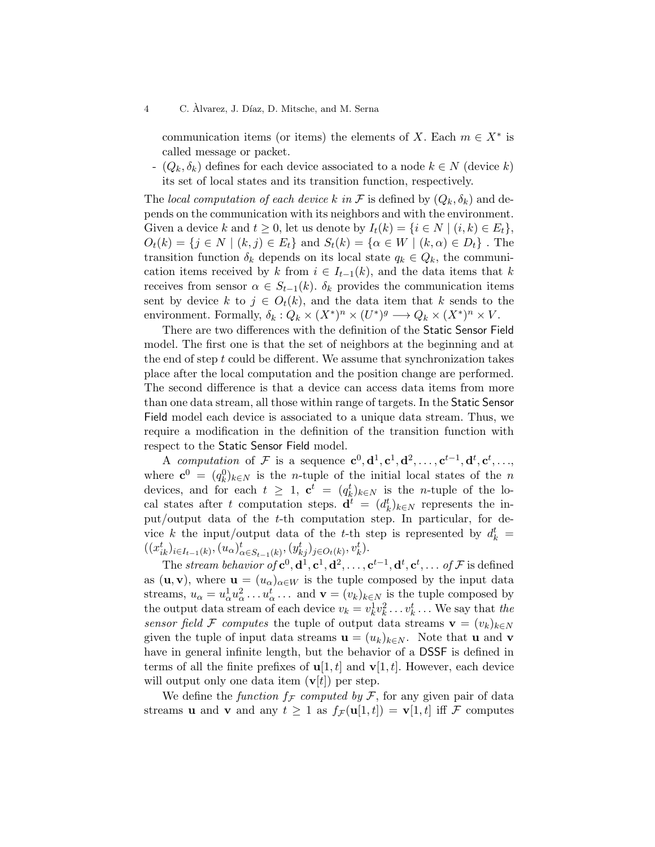communication items (or items) the elements of X. Each  $m \in X^*$  is called message or packet.

-  $(Q_k, \delta_k)$  defines for each device associated to a node  $k \in N$  (device k) its set of local states and its transition function, respectively.

The local computation of each device k in F is defined by  $(Q_k, \delta_k)$  and depends on the communication with its neighbors and with the environment. Given a device k and  $t \geq 0$ , let us denote by  $I_t(k) = \{i \in N \mid (i,k) \in E_t\},\$  $O_t(k) = \{j \in N \mid (k, j) \in E_t\}$  and  $S_t(k) = \{\alpha \in W \mid (k, \alpha) \in D_t\}$ . The transition function  $\delta_k$  depends on its local state  $q_k \in Q_k$ , the communication items received by k from  $i \in I_{t-1}(k)$ , and the data items that k receives from sensor  $\alpha \in S_{t-1}(k)$ .  $\delta_k$  provides the communication items sent by device k to  $j \in O_t(k)$ , and the data item that k sends to the environment. Formally,  $\delta_k: Q_k \times (X^*)^n \times (U^*)^g \longrightarrow Q_k \times (X^*)^n \times V$ .

There are two differences with the definition of the Static Sensor Field model. The first one is that the set of neighbors at the beginning and at the end of step  $t$  could be different. We assume that synchronization takes place after the local computation and the position change are performed. The second difference is that a device can access data items from more than one data stream, all those within range of targets. In the Static Sensor Field model each device is associated to a unique data stream. Thus, we require a modification in the definition of the transition function with respect to the Static Sensor Field model.

A computation of F is a sequence  $\mathbf{c}^0, \mathbf{d}^1, \mathbf{c}^1, \mathbf{d}^2, \ldots, \mathbf{c}^{t-1}, \mathbf{d}^t, \mathbf{c}^t, \ldots,$ where  $\mathbf{c}^0 = (q_k^0)_{k \in \mathbb{N}}$  is the *n*-tuple of the initial local states of the *n* devices, and for each  $t \geq 1$ ,  $\mathbf{c}^t = (q_k^t)_{k \in N}$  is the *n*-tuple of the local states after t computation steps.  $\mathbf{d}^t = (d_k^t)_{k \in N}$  represents the input/output data of the t-th computation step. In particular, for device k the input/output data of the t-th step is represented by  $d_k^t =$  $((x_{ik}^t)_{i \in I_{t-1}(k)}, (u_\alpha)_{\alpha \in S_{t-1}(k)}^t, (y_{kj}^t)_{j \in O_t(k)}, v_k^t).$ 

The stream behavior of  $c^0$ ,  $d^1$ ,  $c^1$ ,  $d^2$ , ...,  $c^{t-1}$ ,  $d^t$ ,  $c^t$ , ... of F is defined as (**u**, **v**), where  $\mathbf{u} = (u_{\alpha})_{\alpha \in W}$  is the tuple composed by the input data streams,  $u_{\alpha} = u_{\alpha}^1 u_{\alpha}^2 \dots u_{\alpha}^t \dots$  and  $\mathbf{v} = (v_k)_{k \in N}$  is the tuple composed by the output data stream of each device  $v_k = v_k^1 v_k^2 \dots v_k^t \dots$  We say that the sensor field F computes the tuple of output data streams  $\mathbf{v} = (v_k)_{k \in N}$ given the tuple of input data streams  $\mathbf{u} = (u_k)_{k \in N}$ . Note that **u** and **v** have in general infinite length, but the behavior of a DSSF is defined in terms of all the finite prefixes of  $\mathbf{u}[1, t]$  and  $\mathbf{v}[1, t]$ . However, each device will output only one data item  $(v[t])$  per step.

We define the function  $f_{\mathcal{F}}$  computed by  $\mathcal{F}$ , for any given pair of data streams **u** and **v** and any  $t \geq 1$  as  $f_{\mathcal{F}}(\mathbf{u}[1,t]) = \mathbf{v}[1,t]$  iff F computes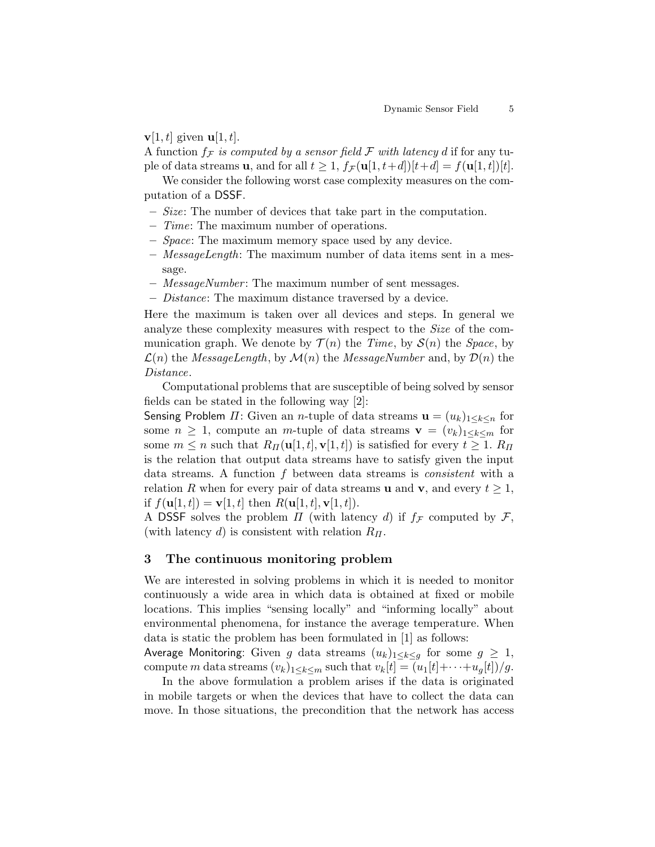### $\mathbf{v}[1, t]$  given  $\mathbf{u}[1, t]$ .

A function  $f_{\mathcal{F}}$  is computed by a sensor field  $\mathcal F$  with latency d if for any tuple of data streams **u**, and for all  $t \geq 1$ ,  $f_{\mathcal{F}}(\mathbf{u}[1, t+d])[t+d] = f(\mathbf{u}[1, t])[t]$ .

We consider the following worst case complexity measures on the computation of a DSSF.

- Size: The number of devices that take part in the computation.
- Time: The maximum number of operations.
- Space: The maximum memory space used by any device.
- MessageLength: The maximum number of data items sent in a message.
- MessageNumber : The maximum number of sent messages.
- Distance: The maximum distance traversed by a device.

Here the maximum is taken over all devices and steps. In general we analyze these complexity measures with respect to the Size of the communication graph. We denote by  $\mathcal{T}(n)$  the Time, by  $\mathcal{S}(n)$  the Space, by  $\mathcal{L}(n)$  the *MessageLength*, by  $\mathcal{M}(n)$  the *MessageNumber* and, by  $\mathcal{D}(n)$  the Distance.

Computational problems that are susceptible of being solved by sensor fields can be stated in the following way [2]:

Sensing Problem  $\Pi$ : Given an *n*-tuple of data streams  $\mathbf{u} = (u_k)_{1 \leq k \leq n}$  for some  $n \geq 1$ , compute an m-tuple of data streams  $\mathbf{v} = (v_k)_{1 \leq k \leq m}$  for some  $m \leq n$  such that  $R_H(\mathbf{u}[1,t], \mathbf{v}[1,t])$  is satisfied for every  $t \geq 1$ .  $R_H$ is the relation that output data streams have to satisfy given the input data streams. A function f between data streams is consistent with a relation R when for every pair of data streams **u** and **v**, and every  $t \geq 1$ , if  $f(\mathbf{u}[1, t]) = \mathbf{v}[1, t]$  then  $R(\mathbf{u}[1, t], \mathbf{v}[1, t])$ .

A DSSF solves the problem  $\Pi$  (with latency d) if  $f_{\mathcal{F}}$  computed by  $\mathcal{F}$ , (with latency d) is consistent with relation  $R_{\Pi}$ .

## 3 The continuous monitoring problem

We are interested in solving problems in which it is needed to monitor continuously a wide area in which data is obtained at fixed or mobile locations. This implies "sensing locally" and "informing locally" about environmental phenomena, for instance the average temperature. When data is static the problem has been formulated in [1] as follows:

Average Monitoring: Given g data streams  $(u_k)_{1\leq k\leq q}$  for some  $g \geq 1$ , compute m data streams  $(v_k)_{1\leq k\leq m}$  such that  $v_k[t] = (u_1[t]+\cdots+u_q[t])/g$ .

In the above formulation a problem arises if the data is originated in mobile targets or when the devices that have to collect the data can move. In those situations, the precondition that the network has access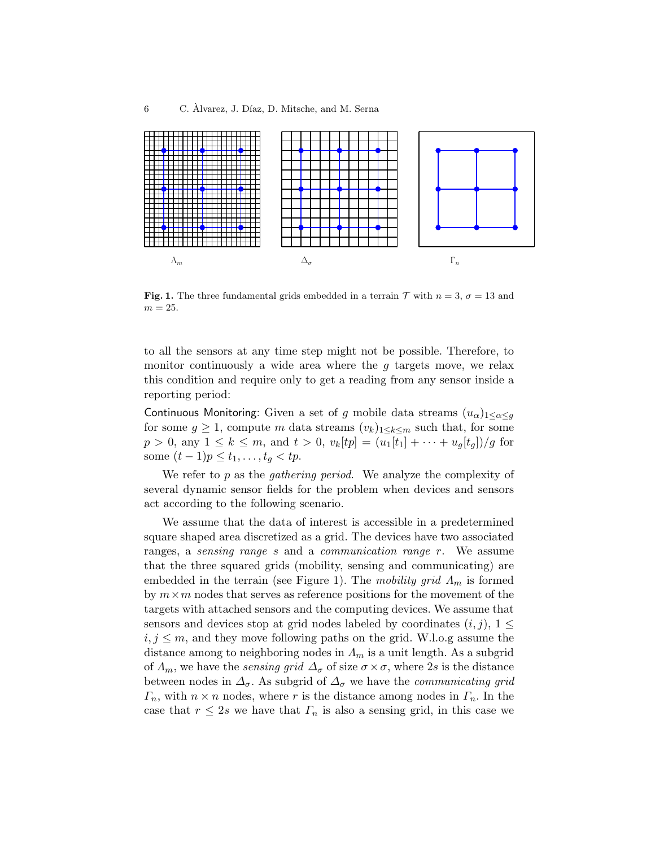

**Fig. 1.** The three fundamental grids embedded in a terrain  $\mathcal T$  with  $n = 3$ ,  $\sigma = 13$  and  $m = 25$ .

to all the sensors at any time step might not be possible. Therefore, to monitor continuously a wide area where the  $q$  targets move, we relax this condition and require only to get a reading from any sensor inside a reporting period:

Continuous Monitoring: Given a set of g mobile data streams  $(u_{\alpha})_{1 \leq \alpha \leq q}$ for some  $g \geq 1$ , compute m data streams  $(v_k)_{1 \leq k \leq m}$  such that, for some  $p > 0$ , any  $1 \leq k \leq m$ , and  $t > 0$ ,  $v_k[tp] = (u_1[t_1] + \cdots + u_g[t_g])/g$  for some  $(t − 1)p ≤ t_1, ..., t_g < tp$ .

We refer to  $p$  as the *gathering period*. We analyze the complexity of several dynamic sensor fields for the problem when devices and sensors act according to the following scenario.

We assume that the data of interest is accessible in a predetermined square shaped area discretized as a grid. The devices have two associated ranges, a *sensing range s* and a *communication range r*. We assume that the three squared grids (mobility, sensing and communicating) are embedded in the terrain (see Figure 1). The mobility grid  $\Lambda_m$  is formed by  $m \times m$  nodes that serves as reference positions for the movement of the targets with attached sensors and the computing devices. We assume that sensors and devices stop at grid nodes labeled by coordinates  $(i, j)$ ,  $1 \leq$  $i, j \leq m$ , and they move following paths on the grid. W.l.o.g assume the distance among to neighboring nodes in  $\Lambda_m$  is a unit length. As a subgrid of  $\Lambda_m$ , we have the *sensing grid*  $\Delta_{\sigma}$  of size  $\sigma \times \sigma$ , where 2s is the distance between nodes in  $\Delta_{\sigma}$ . As subgrid of  $\Delta_{\sigma}$  we have the *communicating grid*  $\Gamma_n$ , with  $n \times n$  nodes, where r is the distance among nodes in  $\Gamma_n$ . In the case that  $r \leq 2s$  we have that  $\Gamma_n$  is also a sensing grid, in this case we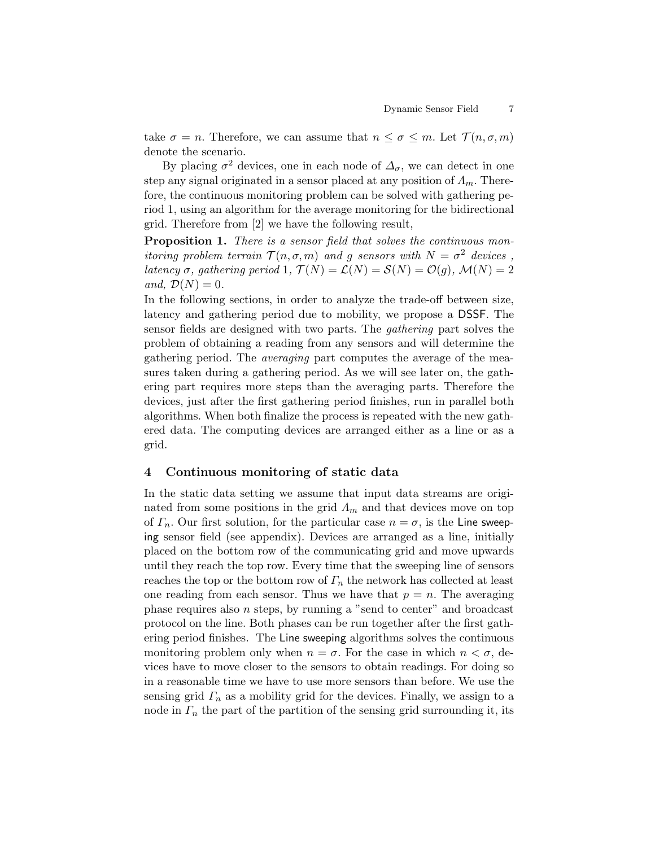take  $\sigma = n$ . Therefore, we can assume that  $n \leq \sigma \leq m$ . Let  $\mathcal{T}(n, \sigma, m)$ denote the scenario.

By placing  $\sigma^2$  devices, one in each node of  $\Delta_{\sigma}$ , we can detect in one step any signal originated in a sensor placed at any position of  $\Lambda_m$ . Therefore, the continuous monitoring problem can be solved with gathering period 1, using an algorithm for the average monitoring for the bidirectional grid. Therefore from [2] we have the following result,

Proposition 1. There is a sensor field that solves the continuous monitoring problem terrain  $\mathcal{T}(n, \sigma, m)$  and g sensors with  $N = \sigma^2$  devices, latency  $\sigma$ , gathering period 1,  $\mathcal{T}(N) = \mathcal{L}(N) = \mathcal{S}(N) = \mathcal{O}(q)$ ,  $\mathcal{M}(N) = 2$ and,  $\mathcal{D}(N) = 0$ .

In the following sections, in order to analyze the trade-off between size, latency and gathering period due to mobility, we propose a DSSF. The sensor fields are designed with two parts. The gathering part solves the problem of obtaining a reading from any sensors and will determine the gathering period. The averaging part computes the average of the measures taken during a gathering period. As we will see later on, the gathering part requires more steps than the averaging parts. Therefore the devices, just after the first gathering period finishes, run in parallel both algorithms. When both finalize the process is repeated with the new gathered data. The computing devices are arranged either as a line or as a grid.

### 4 Continuous monitoring of static data

In the static data setting we assume that input data streams are originated from some positions in the grid  $\Lambda_m$  and that devices move on top of  $\Gamma_n$ . Our first solution, for the particular case  $n = \sigma$ , is the Line sweeping sensor field (see appendix). Devices are arranged as a line, initially placed on the bottom row of the communicating grid and move upwards until they reach the top row. Every time that the sweeping line of sensors reaches the top or the bottom row of  $\varGamma_n$  the network has collected at least one reading from each sensor. Thus we have that  $p = n$ . The averaging phase requires also  $n$  steps, by running a "send to center" and broadcast protocol on the line. Both phases can be run together after the first gathering period finishes. The Line sweeping algorithms solves the continuous monitoring problem only when  $n = \sigma$ . For the case in which  $n < \sigma$ , devices have to move closer to the sensors to obtain readings. For doing so in a reasonable time we have to use more sensors than before. We use the sensing grid  $\Gamma_n$  as a mobility grid for the devices. Finally, we assign to a node in  $\Gamma_n$  the part of the partition of the sensing grid surrounding it, its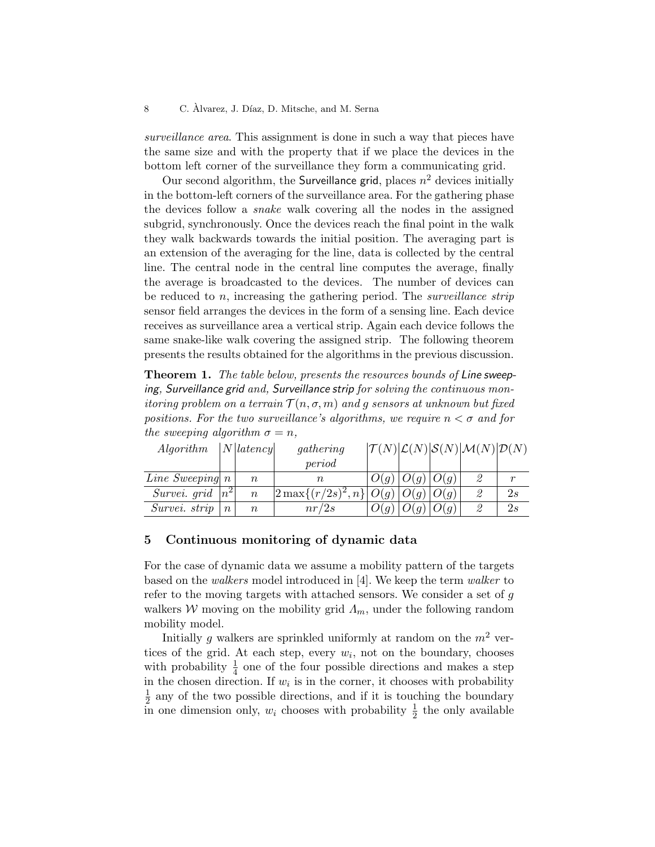surveillance area. This assignment is done in such a way that pieces have the same size and with the property that if we place the devices in the bottom left corner of the surveillance they form a communicating grid.

Our second algorithm, the Surveillance grid, places  $n^2$  devices initially in the bottom-left corners of the surveillance area. For the gathering phase the devices follow a snake walk covering all the nodes in the assigned subgrid, synchronously. Once the devices reach the final point in the walk they walk backwards towards the initial position. The averaging part is an extension of the averaging for the line, data is collected by the central line. The central node in the central line computes the average, finally the average is broadcasted to the devices. The number of devices can be reduced to n, increasing the gathering period. The surveillance strip sensor field arranges the devices in the form of a sensing line. Each device receives as surveillance area a vertical strip. Again each device follows the same snake-like walk covering the assigned strip. The following theorem presents the results obtained for the algorithms in the previous discussion.

Theorem 1. The table below, presents the resources bounds of Line sweeping, Surveillance grid and, Surveillance strip for solving the continuous mon*itoring problem on a terrain*  $\mathcal{T}(n, \sigma, m)$  and g sensors at unknown but fixed positions. For the two surveillance's algorithms, we require  $n < \sigma$  and for the sweeping algorithm  $\sigma = n$ ,

| Algorithm                           |       | N latency | gathering                                  |      |      |               | $ \mathcal{T}(N) \mathcal{L}(N) \mathcal{S}(N) \mathcal{M}(N) \mathcal{D}(N)$ |    |
|-------------------------------------|-------|-----------|--------------------------------------------|------|------|---------------|-------------------------------------------------------------------------------|----|
|                                     |       |           | period                                     |      |      |               |                                                                               |    |
| <i>Line Sweeping</i> $n$            |       | $\it{n}$  | $\it n$                                    | O(g) |      | $O(g)$ $O(g)$ | 2                                                                             | r  |
| <i>Survei.</i> $qri\bar{d}$ $ n^2 $ |       | $\, n$    | $\left 2 \max\{(r/2s)^2, n\} \right  O(q)$ |      |      | $O(q)$ $O(q)$ | 2                                                                             | 2s |
| Survei. strip                       | $\,n$ | $\it{n}$  | nr/2s                                      |      | O(g) | O(g)          | 2                                                                             | 2s |

### 5 Continuous monitoring of dynamic data

For the case of dynamic data we assume a mobility pattern of the targets based on the walkers model introduced in [4]. We keep the term walker to refer to the moving targets with attached sensors. We consider a set of g walkers W moving on the mobility grid  $\Lambda_m$ , under the following random mobility model.

Initially q walkers are sprinkled uniformly at random on the  $m^2$  vertices of the grid. At each step, every  $w_i$ , not on the boundary, chooses with probability  $\frac{1}{4}$  one of the four possible directions and makes a step in the chosen direction. If  $w_i$  is in the corner, it chooses with probability 1  $\frac{1}{2}$  any of the two possible directions, and if it is touching the boundary in one dimension only,  $w_i$  chooses with probability  $\frac{1}{2}$  the only available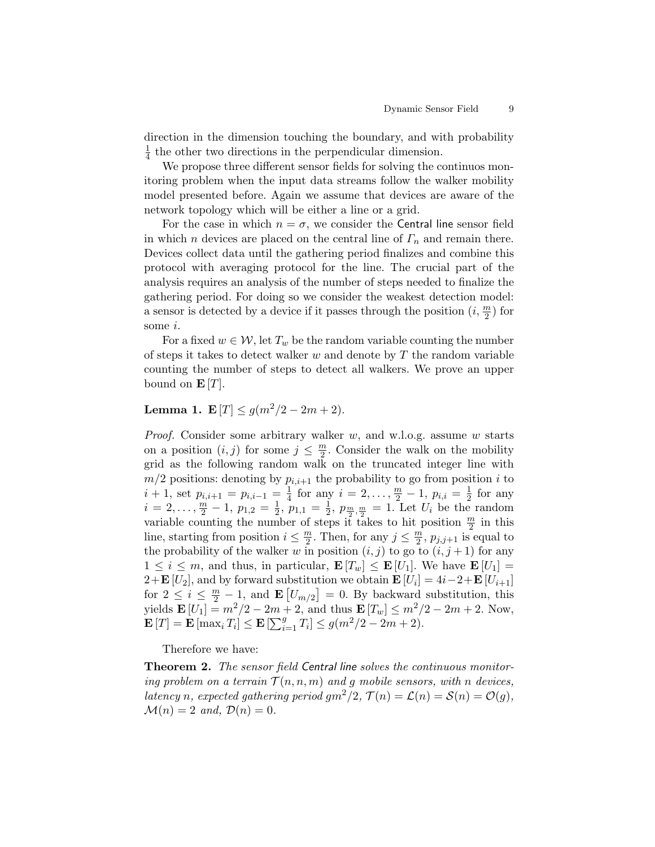direction in the dimension touching the boundary, and with probability 1  $\frac{1}{4}$  the other two directions in the perpendicular dimension.

We propose three different sensor fields for solving the continuos monitoring problem when the input data streams follow the walker mobility model presented before. Again we assume that devices are aware of the network topology which will be either a line or a grid.

For the case in which  $n = \sigma$ , we consider the Central line sensor field in which *n* devices are placed on the central line of  $\Gamma_n$  and remain there. Devices collect data until the gathering period finalizes and combine this protocol with averaging protocol for the line. The crucial part of the analysis requires an analysis of the number of steps needed to finalize the gathering period. For doing so we consider the weakest detection model: a sensor is detected by a device if it passes through the position  $(i, \frac{m}{2})$  for some *i*.

For a fixed  $w \in \mathcal{W}$ , let  $T_w$  be the random variable counting the number of steps it takes to detect walker  $w$  and denote by  $T$  the random variable counting the number of steps to detect all walkers. We prove an upper bound on  $\mathbf{E}[T]$ .

## Lemma 1. E  $|T| \leq q(m^2/2 - 2m + 2)$ .

*Proof.* Consider some arbitrary walker  $w$ , and w.l.o.g. assume  $w$  starts on a position  $(i, j)$  for some  $j \leq \frac{m}{2}$  $\frac{m}{2}$ . Consider the walk on the mobility grid as the following random walk on the truncated integer line with  $m/2$  positions: denoting by  $p_{i,i+1}$  the probability to go from position i to  $i + 1$ , set  $p_{i,i+1} = p_{i,i-1} = \frac{1}{4}$  $\frac{1}{4}$  for any  $i = 2, \ldots, \frac{m}{2} - 1, p_{i,i} = \frac{1}{2}$  $rac{1}{2}$  for any  $i=2,\ldots,\frac{m}{2}-1, p_{1,2}=\frac{1}{2}$  $\frac{1}{2}$ ,  $p_{1,1} = \frac{1}{2}$  $\frac{1}{2}$ ,  $p_{\frac{m}{2}, \frac{m}{2}} = 1$ . Let  $U_i$  be the random variable counting the number of steps it takes to hit position  $\frac{m}{2}$  in this line, starting from position  $i \leq \frac{m}{2}$  $\frac{m}{2}$ . Then, for any  $j \leq \frac{m}{2}$  $\frac{m}{2}$ ,  $p_{j,j+1}$  is equal to the probability of the walker w in position  $(i, j)$  to go to  $(i, j + 1)$  for any  $1 \leq i \leq m$ , and thus, in particular,  $\mathbf{E}[T_w] \leq \mathbf{E}[U_1]$ . We have  $\mathbf{E}[U_1] =$  $2+\mathbf{E}[U_2]$ , and by forward substitution we obtain  $\mathbf{E}[U_i] = 4i-2+\mathbf{E}[U_{i+1}]$ for  $2 \leq i \leq \frac{m}{2} - 1$ , and  $\mathbf{E}[U_{m/2}] = 0$ . By backward substitution, this yields  $\mathbf{E}[U_1] = m^2/2 - 2m + 2$ , and thus  $\mathbf{E}[T_w] \leq m^2/2 - 2m + 2$ . Now,  $\mathbf{E}[T] = \mathbf{E}[\max_i T_i] \leq \mathbf{E}[\sum_{i=1}^g T_i] \leq g(m^2/2 - 2m + 2).$ 

Therefore we have:

Theorem 2. The sensor field Central line solves the continuous monitoring problem on a terrain  $\mathcal{T}(n, n, m)$  and g mobile sensors, with n devices, latency n, expected gathering period  $gm^2/2$ ,  $\mathcal{T}(n) = \mathcal{L}(n) = \mathcal{S}(n) = \mathcal{O}(q)$ ,  $\mathcal{M}(n) = 2$  and,  $\mathcal{D}(n) = 0$ .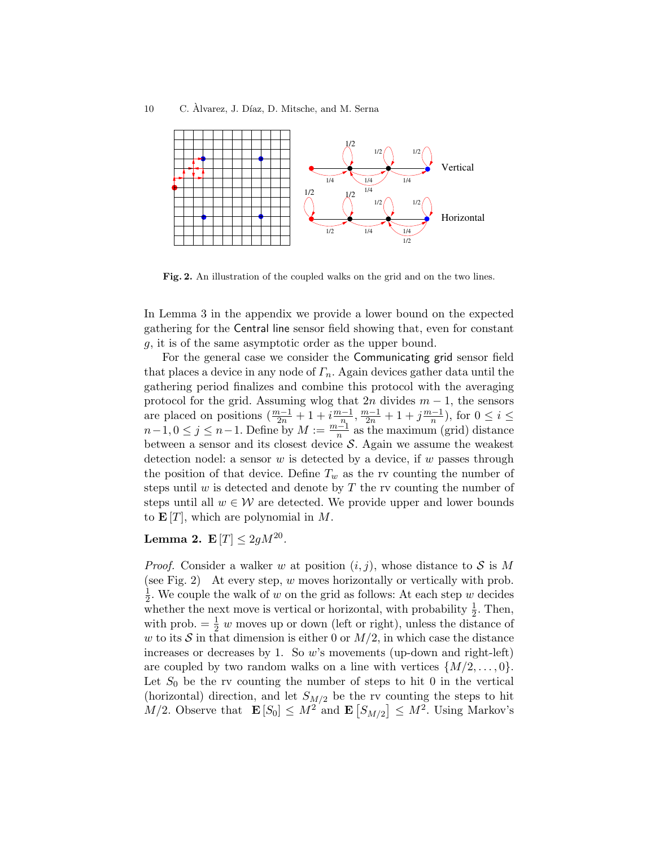

Fig. 2. An illustration of the coupled walks on the grid and on the two lines.

In Lemma 3 in the appendix we provide a lower bound on the expected gathering for the Central line sensor field showing that, even for constant g, it is of the same asymptotic order as the upper bound.

For the general case we consider the Communicating grid sensor field that places a device in any node of  $\Gamma_n$ . Again devices gather data until the gathering period finalizes and combine this protocol with the averaging protocol for the grid. Assuming wlog that  $2n$  divides  $m-1$ , the sensors are placed on positions  $(\frac{m-1}{2n} + 1 + i \frac{m-1}{n})$  $\frac{n-1}{n}$ ,  $\frac{m-1}{2n} + 1 + j\frac{m-1}{n}$  $\frac{n-1}{n}$ , for  $0 \leq i \leq$  $n-1, 0 \leq j \leq n-1$ . Define by  $M := \frac{m-1}{n}$  as the maximum (grid) distance between a sensor and its closest device  $S$ . Again we assume the weakest detection nodel: a sensor  $w$  is detected by a device, if  $w$  passes through the position of that device. Define  $T_w$  as the rv counting the number of steps until  $w$  is detected and denote by  $T$  the rv counting the number of steps until all  $w \in \mathcal{W}$  are detected. We provide upper and lower bounds to  $\mathbf{E}[T]$ , which are polynomial in M.

## Lemma 2.  $\mathbf{E}[T] \leq 2gM^{20}$ .

*Proof.* Consider a walker w at position  $(i, j)$ , whose distance to S is M (see Fig. 2) At every step,  $w$  moves horizontally or vertically with prob. 1  $\frac{1}{2}$ . We couple the walk of w on the grid as follows: At each step w decides whether the next move is vertical or horizontal, with probability  $\frac{1}{2}$ . Then, with prob.  $=\frac{1}{2}$  w moves up or down (left or right), unless the distance of w to its S in that dimension is either 0 or  $M/2$ , in which case the distance increases or decreases by 1. So  $w$ 's movements (up-down and right-left) are coupled by two random walks on a line with vertices  $\{M/2, \ldots, 0\}$ . Let  $S_0$  be the rv counting the number of steps to hit 0 in the vertical (horizontal) direction, and let  $S_{M/2}$  be the rv counting the steps to hit  $M/2$ . Observe that  $\mathbf{E}[S_0] \leq M^2$  and  $\mathbf{E}[S_{M/2}] \leq M^2$ . Using Markov's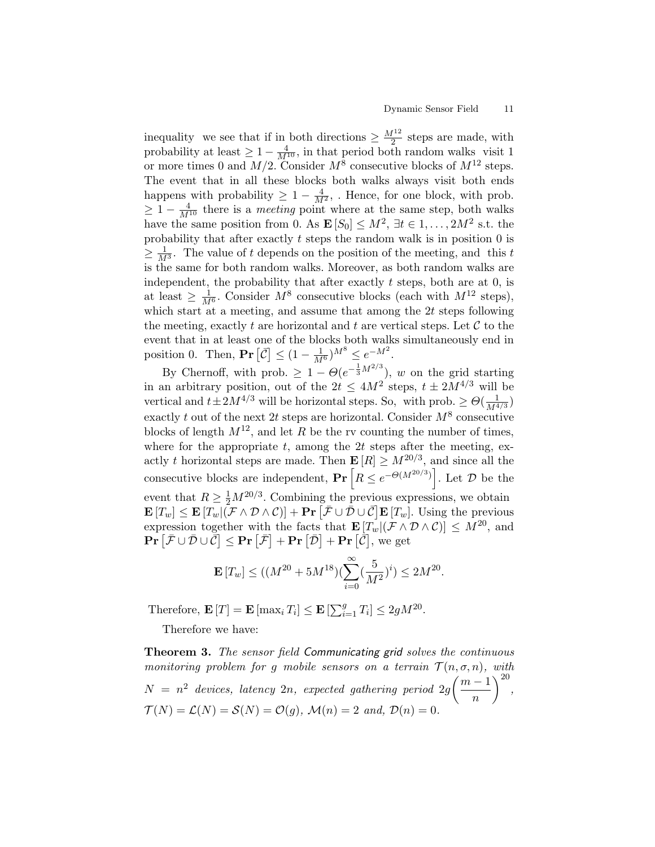inequality we see that if in both directions  $\geq \frac{M^{12}}{2}$  $\frac{1}{2}$  steps are made, with probability at least  $\geq 1 - \frac{4}{M^{10}}$ , in that period both random walks visit 1 or more times 0 and  $M/2$ . Consider  $M^8$  consecutive blocks of  $M^{12}$  steps. The event that in all these blocks both walks always visit both ends happens with probability  $\geq 1 - \frac{4}{M^2}$ , Hence, for one block, with prob.  $\geq 1 - \frac{4}{M^{10}}$  there is a *meeting* point where at the same step, both walks have the same position from 0. As  $\mathbf{E}[S_0] \leq M^2$ ,  $\exists t \in 1, \ldots, 2M^2$  s.t. the probability that after exactly  $t$  steps the random walk is in position  $0$  is  $\geq \frac{1}{M^3}$ . The value of t depends on the position of the meeting, and this t is the same for both random walks. Moreover, as both random walks are independent, the probability that after exactly  $t$  steps, both are at 0, is at least  $\geq \frac{1}{M^6}$ . Consider  $M^8$  consecutive blocks (each with  $M^{12}$  steps), which start at a meeting, and assume that among the  $2t$  steps following the meeting, exactly t are horizontal and t are vertical steps. Let  $\mathcal C$  to the event that in at least one of the blocks both walks simultaneously end in position 0. Then,  $\mathbf{Pr}\left[\overline{\mathcal{C}}\right] \leq (1 - \frac{1}{M^6})^{M^8} \leq e^{-M^2}$ .

By Chernoff, with prob.  $\geq 1 - \Theta(e^{-\frac{1}{3}M^{2/3}})$ , w on the grid starting in an arbitrary position, out of the  $2t \le 4M^2$  steps,  $t \pm 2M^{4/3}$  will be vertical and  $t \pm 2M^{4/3}$  will be horizontal steps. So, with prob.  $\geq \Theta(\frac{1}{M^4})$  $\frac{1}{M^{4/3}})$ exactly t out of the next 2t steps are horizontal. Consider  $M^8$  consecutive blocks of length  $M^{12}$ , and let R be the rv counting the number of times. where for the appropriate  $t$ , among the 2t steps after the meeting, exactly t horizontal steps are made. Then  $\mathbf{E}[R] \geq M^{20/3}$ , and since all the consecutive blocks are independent,  $\Pr[R \le e^{-\Theta(M^{20/3})}]$ . Let  $\mathcal D$  be the event that  $R \geq \frac{1}{2} M^{20/3}$ . Combining the previous expressions, we obtain  $\mathbf{E}\left[T_w\right] \leq \mathbf{E}\left[T_w\middle|\left(\mathcal{\bar{F}} \wedge \mathcal{D} \wedge \mathcal{C}\right)\right] + \mathbf{Pr}\left[\mathcal{\bar{F}} \cup \mathcal{\bar{D}} \cup \mathcal{\bar{C}}\right] \mathbf{E}\left[T_w\right].$  Using the previous expression together with the facts that  $\mathbf{E}[T_w](\mathcal{F} \wedge \mathcal{D} \wedge \mathcal{C})] \leq M^{20}$ , and  $\mathbf{Pr}\left[ \bar{\mathcal{F}} \cup \bar{\mathcal{D}} \cup \bar{\mathcal{C}} \right] \leq \mathbf{Pr}\left[ \bar{\mathcal{F}} \right] + \mathbf{Pr}\left[ \bar{\mathcal{D}} \right] + \mathbf{Pr}\left[ \bar{\mathcal{C}} \right],$  we get

$$
\mathbf{E}\left[T_w\right] \leq ((M^{20}+5M^{18})(\sum_{i=0}^{\infty}(\frac{5}{M^2})^i) \leq 2M^{20}.
$$

Therefore,  $\mathbf{E}[T] = \mathbf{E} [\max_i T_i] \leq \mathbf{E} [\sum_{i=1}^g T_i] \leq 2gM^{20}$ .

Therefore we have:

Theorem 3. The sensor field Communicating grid solves the continuous monitoring problem for g mobile sensors on a terrain  $\mathcal{T}(n, \sigma, n)$ , with  $N = n^2$  devices, latency  $2n$ , expected gathering period  $2g\left(\frac{m-1}{n}\right)$ n  $\Big)^{20}$  $\mathcal{T}(N) = \mathcal{L}(N) = \mathcal{S}(N) = \mathcal{O}(g)$ ,  $\mathcal{M}(n) = 2$  and,  $\mathcal{D}(n) = 0$ .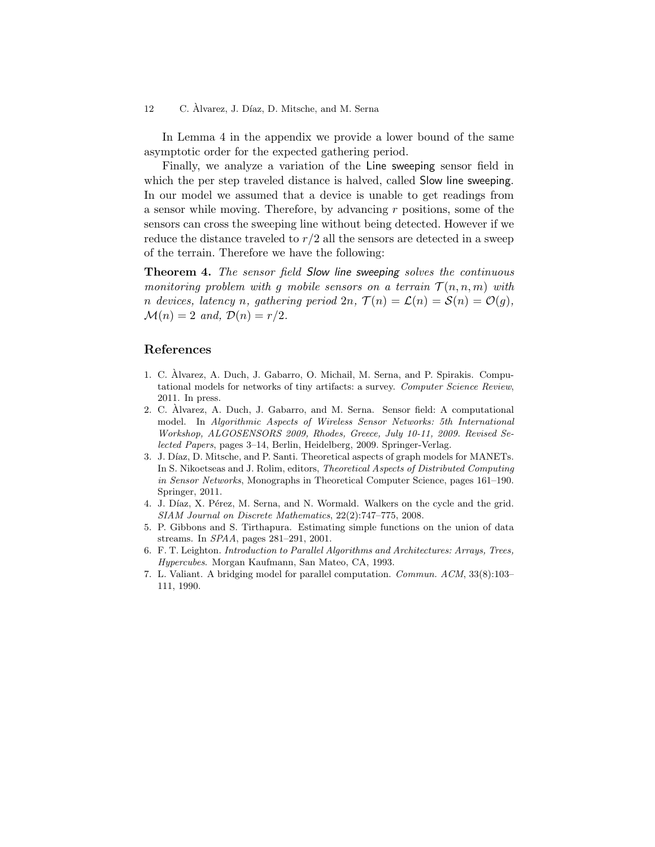In Lemma 4 in the appendix we provide a lower bound of the same asymptotic order for the expected gathering period.

Finally, we analyze a variation of the Line sweeping sensor field in which the per step traveled distance is halved, called **Slow line sweeping**. In our model we assumed that a device is unable to get readings from a sensor while moving. Therefore, by advancing r positions, some of the sensors can cross the sweeping line without being detected. However if we reduce the distance traveled to  $r/2$  all the sensors are detected in a sweep of the terrain. Therefore we have the following:

Theorem 4. The sensor field Slow line sweeping solves the continuous monitoring problem with g mobile sensors on a terrain  $\mathcal{T}(n, n, m)$  with n devices, latency n, gathering period  $2n$ ,  $\mathcal{T}(n) = \mathcal{L}(n) = \mathcal{S}(n) = \mathcal{O}(q)$ ,  $\mathcal{M}(n) = 2$  and,  $\mathcal{D}(n) = r/2$ .

## References

- 1. C. Alvarez, A. Duch, J. Gabarro, O. Michail, M. Serna, and P. Spirakis. Compu- ` tational models for networks of tiny artifacts: a survey. Computer Science Review, 2011. In press.
- 2. C. Alvarez, A. Duch, J. Gabarro, and M. Serna. Sensor field: A computational ` model. In Algorithmic Aspects of Wireless Sensor Networks: 5th International Workshop, ALGOSENSORS 2009, Rhodes, Greece, July 10-11, 2009. Revised Selected Papers, pages 3–14, Berlin, Heidelberg, 2009. Springer-Verlag.
- 3. J. Díaz, D. Mitsche, and P. Santi. Theoretical aspects of graph models for MANETs. In S. Nikoetseas and J. Rolim, editors, Theoretical Aspects of Distributed Computing in Sensor Networks, Monographs in Theoretical Computer Science, pages 161–190. Springer, 2011.
- 4. J. Díaz, X. Pérez, M. Serna, and N. Wormald. Walkers on the cycle and the grid. SIAM Journal on Discrete Mathematics, 22(2):747–775, 2008.
- 5. P. Gibbons and S. Tirthapura. Estimating simple functions on the union of data streams. In SPAA, pages 281–291, 2001.
- 6. F. T. Leighton. Introduction to Parallel Algorithms and Architectures: Arrays, Trees, Hypercubes. Morgan Kaufmann, San Mateo, CA, 1993.
- 7. L. Valiant. A bridging model for parallel computation. Commun. ACM, 33(8):103– 111, 1990.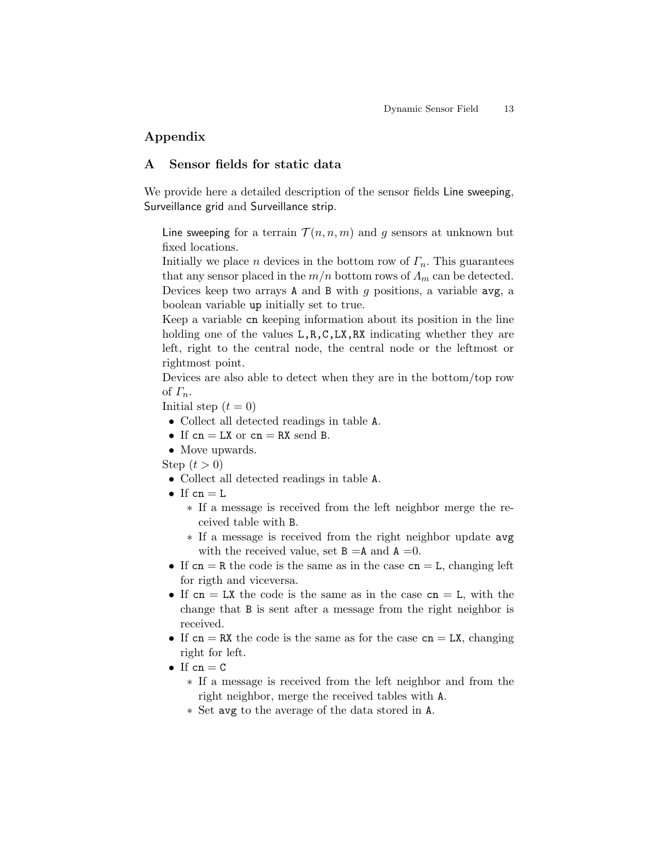## Appendix

## A Sensor fields for static data

We provide here a detailed description of the sensor fields Line sweeping, Surveillance grid and Surveillance strip.

Line sweeping for a terrain  $\mathcal{T}(n, n, m)$  and g sensors at unknown but fixed locations.

Initially we place n devices in the bottom row of  $\Gamma_n$ . This guarantees that any sensor placed in the  $m/n$  bottom rows of  $\Lambda_m$  can be detected. Devices keep two arrays A and B with  $g$  positions, a variable avg, a boolean variable up initially set to true.

Keep a variable cn keeping information about its position in the line holding one of the values  $L, R, C, LX, RX$  indicating whether they are left, right to the central node, the central node or the leftmost or rightmost point.

Devices are also able to detect when they are in the bottom/top row of  $\Gamma_n$ .

Initial step  $(t = 0)$ 

- Collect all detected readings in table A.
- If  $cn = LX$  or  $cn = RX$  send B.
- Move upwards.

Step  $(t > 0)$ 

- Collect all detected readings in table A.
- If  $cn = L$ 
	- ∗ If a message is received from the left neighbor merge the received table with B.
	- ∗ If a message is received from the right neighbor update avg with the received value, set  $B = A$  and  $A = 0$ .
- If  $cn = R$  the code is the same as in the case  $cn = L$ , changing left for rigth and viceversa.
- If  $cn = LX$  the code is the same as in the case  $cn = L$ , with the change that B is sent after a message from the right neighbor is received.
- If  $cn = RX$  the code is the same as for the case  $cn = LX$ , changing right for left.
- If  $cn = C$ 
	- ∗ If a message is received from the left neighbor and from the right neighbor, merge the received tables with A.
	- ∗ Set avg to the average of the data stored in A.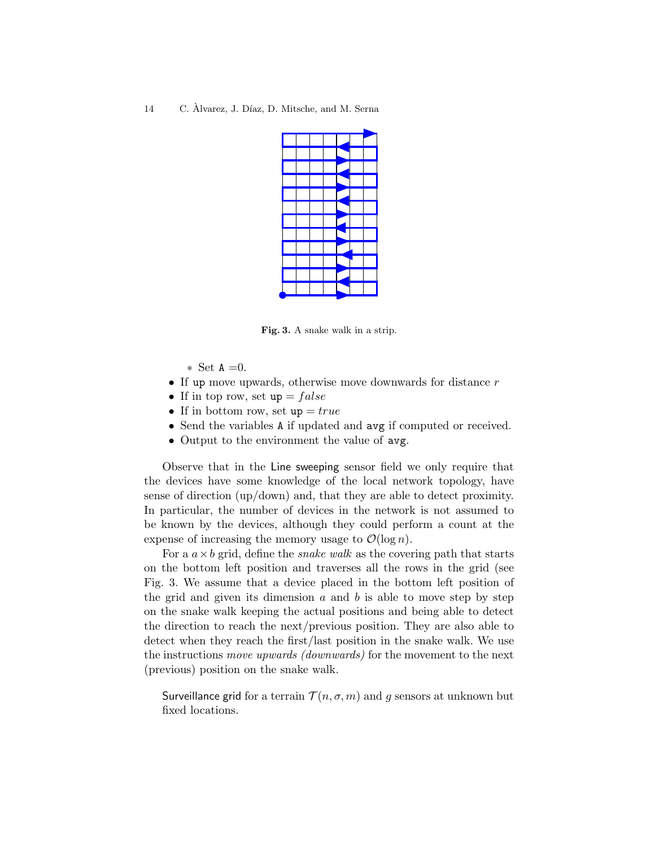Fig. 3. A snake walk in a strip.

- ∗ Set A =0.
- If up move upwards, otherwise move downwards for distance  $r$
- If in top row, set  $up = false$
- If in bottom row, set  $up = true$
- Send the variables A if updated and  $\Delta v$ g if computed or received.
- Output to the environment the value of avg.

Observe that in the Line sweeping sensor field we only require that the devices have some knowledge of the local network topology, have sense of direction (up/down) and, that they are able to detect proximity. In particular, the number of devices in the network is not assumed to be known by the devices, although they could perform a count at the expense of increasing the memory usage to  $\mathcal{O}(\log n)$ .

For a  $a \times b$  grid, define the *snake walk* as the covering path that starts on the bottom left position and traverses all the rows in the grid (see Fig. 3. We assume that a device placed in the bottom left position of the grid and given its dimension  $a$  and  $b$  is able to move step by step on the snake walk keeping the actual positions and being able to detect the direction to reach the next/previous position. They are also able to detect when they reach the first/last position in the snake walk. We use the instructions move upwards (downwards) for the movement to the next (previous) position on the snake walk.

Surveillance grid for a terrain  $\mathcal{T}(n, \sigma, m)$  and q sensors at unknown but fixed locations.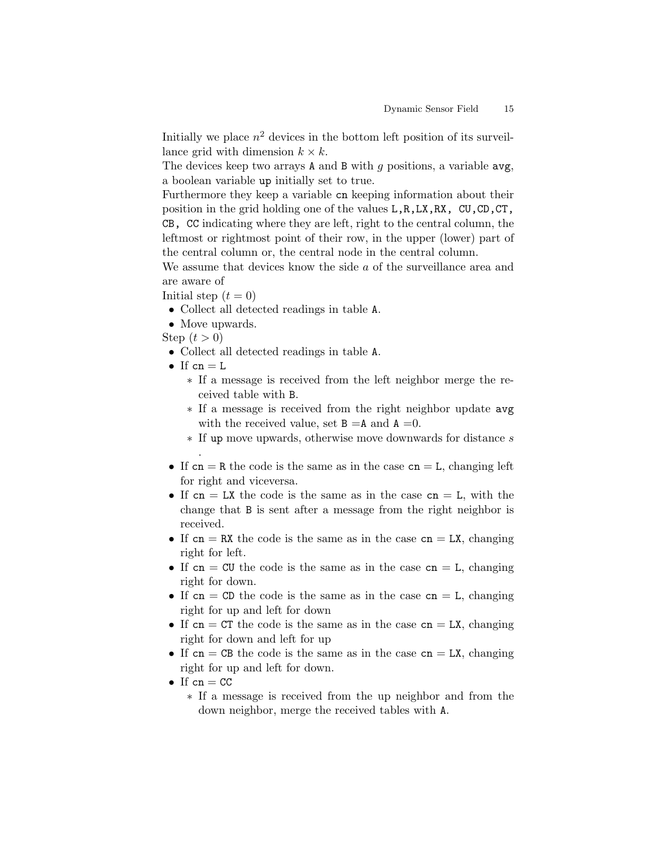Initially we place  $n^2$  devices in the bottom left position of its surveillance grid with dimension  $k \times k$ .

The devices keep two arrays  $A$  and  $B$  with  $q$  positions, a variable avg, a boolean variable up initially set to true.

Furthermore they keep a variable cn keeping information about their position in the grid holding one of the values L,R,LX,RX, CU,CD,CT, CB, CC indicating where they are left, right to the central column, the leftmost or rightmost point of their row, in the upper (lower) part of the central column or, the central node in the central column.

We assume that devices know the side a of the surveillance area and are aware of

Initial step  $(t = 0)$ 

- Collect all detected readings in table A.
- Move upwards.

Step  $(t > 0)$ 

- Collect all detected readings in table A.
- If  $cn = L$

.

- ∗ If a message is received from the left neighbor merge the received table with B.
- ∗ If a message is received from the right neighbor update avg with the received value, set  $B = A$  and  $A = 0$ .
- ∗ If up move upwards, otherwise move downwards for distance s
- If  $cn = R$  the code is the same as in the case  $cn = L$ , changing left for right and viceversa.
- If  $cn = LX$  the code is the same as in the case  $cn = L$ , with the change that B is sent after a message from the right neighbor is received.
- If  $cn = RX$  the code is the same as in the case  $cn = LX$ , changing right for left.
- If  $cn = CU$  the code is the same as in the case  $cn = L$ , changing right for down.
- If  $cn = CD$  the code is the same as in the case  $cn = L$ , changing right for up and left for down
- If  $cn = CT$  the code is the same as in the case  $cn = LX$ , changing right for down and left for up
- If  $cn = CB$  the code is the same as in the case  $cn = LX$ , changing right for up and left for down.
- If  $cn = CC$ 
	- ∗ If a message is received from the up neighbor and from the down neighbor, merge the received tables with A.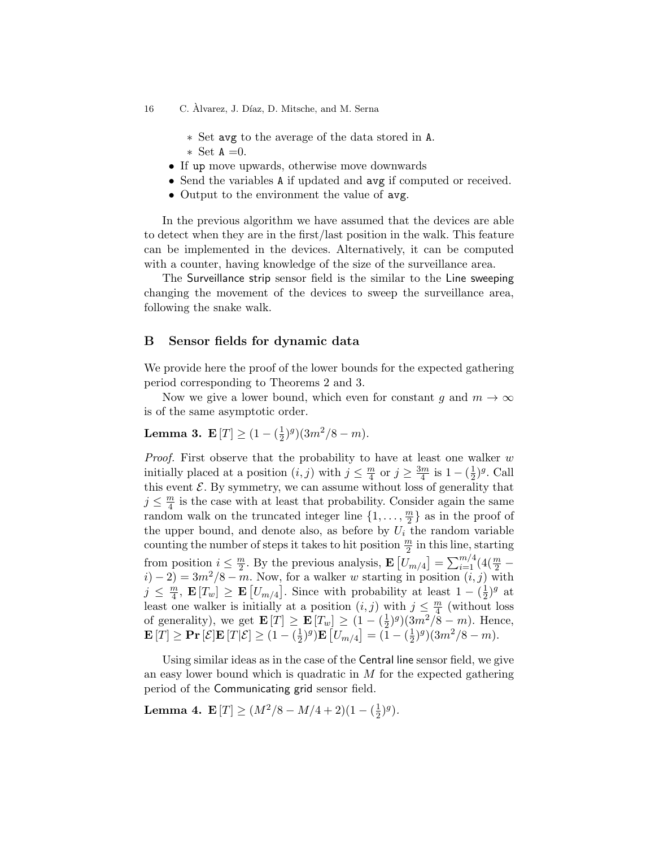∗ Set avg to the average of the data stored in A. ∗ Set A =0.

- If up move upwards, otherwise move downwards
- Send the variables A if updated and avg if computed or received.
- Output to the environment the value of avg.

In the previous algorithm we have assumed that the devices are able to detect when they are in the first/last position in the walk. This feature can be implemented in the devices. Alternatively, it can be computed with a counter, having knowledge of the size of the surveillance area.

The Surveillance strip sensor field is the similar to the Line sweeping changing the movement of the devices to sweep the surveillance area, following the snake walk.

## B Sensor fields for dynamic data

We provide here the proof of the lower bounds for the expected gathering period corresponding to Theorems 2 and 3.

Now we give a lower bound, which even for constant g and  $m \to \infty$ is of the same asymptotic order.

#### **Lemma 3.**  $E[T] \geq (1 - (\frac{1}{2})$  $(\frac{1}{2})^g$  $(3m^2/8 - m).$

*Proof.* First observe that the probability to have at least one walker  $w$ initially placed at a position  $(i, j)$  with  $j \leq \frac{m}{4}$  $\frac{m}{4}$  or  $j \geq \frac{3m}{4}$  $\frac{m}{4}$  is  $1 - (\frac{1}{2})$  $(\frac{1}{2})^g$ . Call this event  $\mathcal{E}$ . By symmetry, we can assume without loss of generality that  $j \leq \frac{m}{4}$  $\frac{n}{4}$  is the case with at least that probability. Consider again the same random walk on the truncated integer line  $\{1, \ldots, \frac{m}{2}\}$  $\frac{m}{2}$  as in the proof of the upper bound, and denote also, as before by  $U_i$  the random variable counting the number of steps it takes to hit position  $\frac{m}{2}$  in this line, starting from position  $i \leq \frac{m}{2}$  $\frac{m}{2}$ . By the previous analysis,  $\mathbf{E}\left[U_{m/4}\right] = \sum_{i=1}^{m/4} (4(\frac{m}{2}$  $i) - 2 = 3m^2/8 - m$ . Now, for a walker w starting in position  $(i, j)$  with  $j \leq \frac{m}{4}$  $\frac{m}{4}$ ,  $\mathbf{E}[T_w] \geq \mathbf{E}[U_{m/4}]$ . Since with probability at least  $1 - (\frac{1}{2})$  $(\frac{1}{2})^g$  at least one walker is initially at a position  $(i, j)$  with  $j \leq \frac{m}{4}$  $\frac{n}{4}$  (without loss of generality), we get  $\mathbf{E}[T] \geq \mathbf{E}[T_w] \geq (1 - (\frac{1}{2})$  $(\frac{1}{2})^g$  $((3m^2/\overline{8} - m)$ . Hence,  $\mathbf{E}[T]\geq \mathbf{Pr}\left[\mathcal{E}|\mathbf{E}[T|\mathcal{E}]\geq (1-(\frac{1}{2}))\right]$  $(\frac{1}{2})^g)\mathbf{E}\left[U_{m/4}\right] = (\tilde{1} - (\frac{1}{2})^g)$  $(\frac{1}{2})^g$  $(3m^2/8 - m).$ 

Using similar ideas as in the case of the Central line sensor field, we give an easy lower bound which is quadratic in  $M$  for the expected gathering period of the Communicating grid sensor field.

Lemma 4. E $|T| \geq (M^2/8 - M/4 + 2)(1 - (\frac{1}{2})$  $(\frac{1}{2})^g$ .